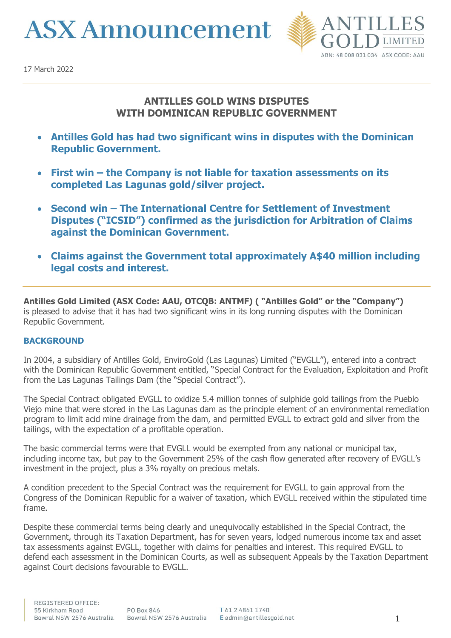**ASX Announcement** 



# **ANTILLES GOLD WINS DISPUTES WITH DOMINICAN REPUBLIC GOVERNMENT**

- **Antilles Gold has had two significant wins in disputes with the Dominican Republic Government.**
- **First win – the Company is not liable for taxation assessments on its completed Las Lagunas gold/silver project.**
- **Second win – The International Centre for Settlement of Investment Disputes ("ICSID") confirmed as the jurisdiction for Arbitration of Claims against the Dominican Government.**
- **Claims against the Government total approximately A\$40 million including legal costs and interest.**

**Antilles Gold Limited (ASX Code: AAU, OTCQB: ANTMF) ( "Antilles Gold" or the "Company")** is pleased to advise that it has had two significant wins in its long running disputes with the Dominican Republic Government.

## **BACKGROUND**

In 2004, a subsidiary of Antilles Gold, EnviroGold (Las Lagunas) Limited ("EVGLL"), entered into a contract with the Dominican Republic Government entitled, "Special Contract for the Evaluation, Exploitation and Profit from the Las Lagunas Tailings Dam (the "Special Contract").

The Special Contract obligated EVGLL to oxidize 5.4 million tonnes of sulphide gold tailings from the Pueblo Viejo mine that were stored in the Las Lagunas dam as the principle element of an environmental remediation program to limit acid mine drainage from the dam, and permitted EVGLL to extract gold and silver from the tailings, with the expectation of a profitable operation.

The basic commercial terms were that EVGLL would be exempted from any national or municipal tax, including income tax, but pay to the Government 25% of the cash flow generated after recovery of EVGLL's investment in the project, plus a 3% royalty on precious metals.

A condition precedent to the Special Contract was the requirement for EVGLL to gain approval from the Congress of the Dominican Republic for a waiver of taxation, which EVGLL received within the stipulated time frame.

Despite these commercial terms being clearly and unequivocally established in the Special Contract, the Government, through its Taxation Department, has for seven years, lodged numerous income tax and asset tax assessments against EVGLL, together with claims for penalties and interest. This required EVGLL to defend each assessment in the Dominican Courts, as well as subsequent Appeals by the Taxation Department against Court decisions favourable to EVGLL.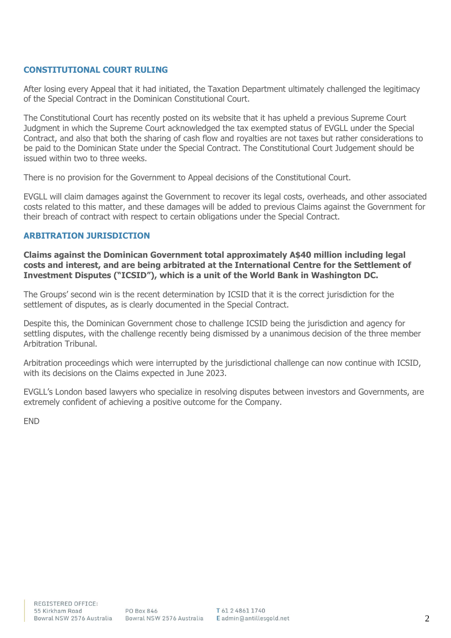## **CONSTITUTIONAL COURT RULING**

After losing every Appeal that it had initiated, the Taxation Department ultimately challenged the legitimacy of the Special Contract in the Dominican Constitutional Court.

The Constitutional Court has recently posted on its website that it has upheld a previous Supreme Court Judgment in which the Supreme Court acknowledged the tax exempted status of EVGLL under the Special Contract, and also that both the sharing of cash flow and royalties are not taxes but rather considerations to be paid to the Dominican State under the Special Contract. The Constitutional Court Judgement should be issued within two to three weeks.

There is no provision for the Government to Appeal decisions of the Constitutional Court.

EVGLL will claim damages against the Government to recover its legal costs, overheads, and other associated costs related to this matter, and these damages will be added to previous Claims against the Government for their breach of contract with respect to certain obligations under the Special Contract.

### **ARBITRATION JURISDICTION**

**Claims against the Dominican Government total approximately A\$40 million including legal costs and interest, and are being arbitrated at the International Centre for the Settlement of Investment Disputes ("ICSID"), which is a unit of the World Bank in Washington DC.**

The Groups' second win is the recent determination by ICSID that it is the correct jurisdiction for the settlement of disputes, as is clearly documented in the Special Contract.

Despite this, the Dominican Government chose to challenge ICSID being the jurisdiction and agency for settling disputes, with the challenge recently being dismissed by a unanimous decision of the three member Arbitration Tribunal.

Arbitration proceedings which were interrupted by the jurisdictional challenge can now continue with ICSID, with its decisions on the Claims expected in June 2023.

EVGLL's London based lawyers who specialize in resolving disputes between investors and Governments, are extremely confident of achieving a positive outcome for the Company.

END